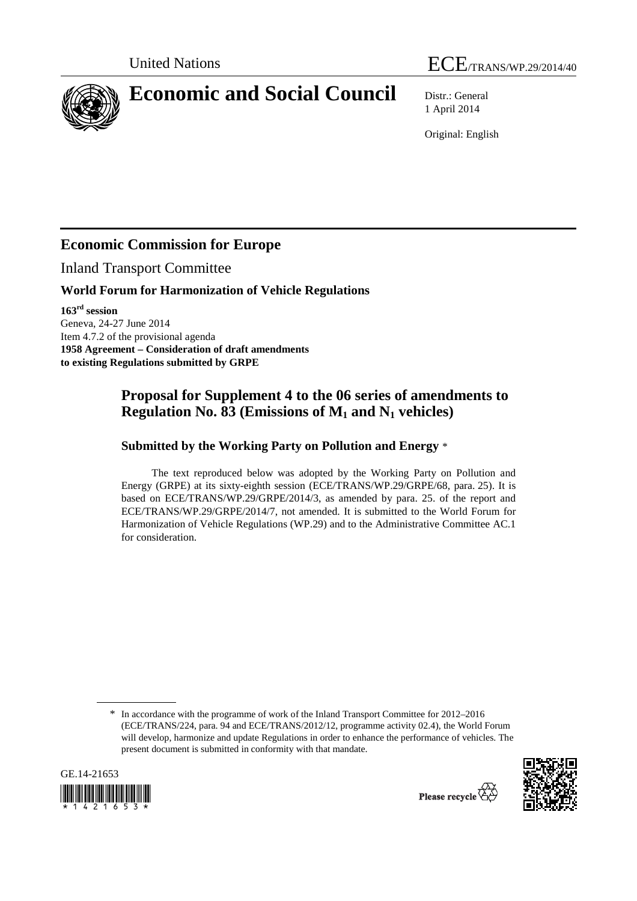



# **Economic and Social Council** Distr.: General

1 April 2014

Original: English

## **Economic Commission for Europe**

Inland Transport Committee

#### **World Forum for Harmonization of Vehicle Regulations**

**163rd session**  Geneva, 24-27 June 2014 Item 4.7.2 of the provisional agenda **1958 Agreement – Consideration of draft amendments to existing Regulations submitted by GRPE** 

### **Proposal for Supplement 4 to the 06 series of amendments to Regulation No. 83 (Emissions of M1 and N1 vehicles)**

#### **Submitted by the Working Party on Pollution and Energy** \*

The text reproduced below was adopted by the Working Party on Pollution and Energy (GRPE) at its sixty-eighth session (ECE/TRANS/WP.29/GRPE/68, para. 25). It is based on ECE/TRANS/WP.29/GRPE/2014/3, as amended by para. 25. of the report and ECE/TRANS/WP.29/GRPE/2014/7, not amended. It is submitted to the World Forum for Harmonization of Vehicle Regulations (WP.29) and to the Administrative Committee AC.1 for consideration.

<sup>\*</sup> In accordance with the programme of work of the Inland Transport Committee for 2012–2016 (ECE/TRANS/224, para. 94 and ECE/TRANS/2012/12, programme activity 02.4), the World Forum will develop, harmonize and update Regulations in order to enhance the performance of vehicles. The present document is submitted in conformity with that mandate.